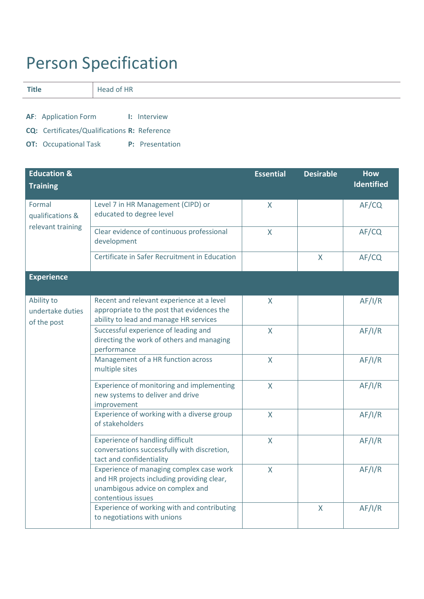## Person Specification

**Title** Head of HR

**AF**: Application Form **I:** Interview

**CQ:** Certificates/Qualifications **R:** Reference

**OT:** Occupational Task **P:** Presentation

| <b>Education &amp;</b>                          |                                                                                                                                                  | <b>Essential</b> | <b>Desirable</b> | <b>How</b>        |
|-------------------------------------------------|--------------------------------------------------------------------------------------------------------------------------------------------------|------------------|------------------|-------------------|
| <b>Training</b>                                 |                                                                                                                                                  |                  |                  | <b>Identified</b> |
| Formal<br>qualifications &<br>relevant training | Level 7 in HR Management (CIPD) or<br>educated to degree level                                                                                   | $\mathsf{X}$     |                  | AF/CQ             |
|                                                 | Clear evidence of continuous professional<br>development                                                                                         | $\mathsf{X}$     |                  | AF/CQ             |
|                                                 | Certificate in Safer Recruitment in Education                                                                                                    |                  | $\mathsf{X}$     | AF/CQ             |
| <b>Experience</b>                               |                                                                                                                                                  |                  |                  |                   |
| Ability to<br>undertake duties<br>of the post   | Recent and relevant experience at a level<br>appropriate to the post that evidences the<br>ability to lead and manage HR services                | X                |                  | AF/I/R            |
|                                                 | Successful experience of leading and<br>directing the work of others and managing<br>performance                                                 | $\overline{X}$   |                  | AF/I/R            |
|                                                 | Management of a HR function across<br>multiple sites                                                                                             | $\overline{X}$   |                  | AF/I/R            |
|                                                 | Experience of monitoring and implementing<br>new systems to deliver and drive<br>improvement                                                     | $\mathsf{X}$     |                  | AF/I/R            |
|                                                 | Experience of working with a diverse group<br>of stakeholders                                                                                    | $\mathsf{X}$     |                  | AF/I/R            |
|                                                 | <b>Experience of handling difficult</b><br>conversations successfully with discretion,<br>tact and confidentiality                               | $\mathsf{X}$     |                  | AF/I/R            |
|                                                 | Experience of managing complex case work<br>and HR projects including providing clear,<br>unambigous advice on complex and<br>contentious issues | $\mathsf{X}$     |                  | AF/I/R            |
|                                                 | Experience of working with and contributing<br>to negotiations with unions                                                                       |                  | $\overline{X}$   | AF/I/R            |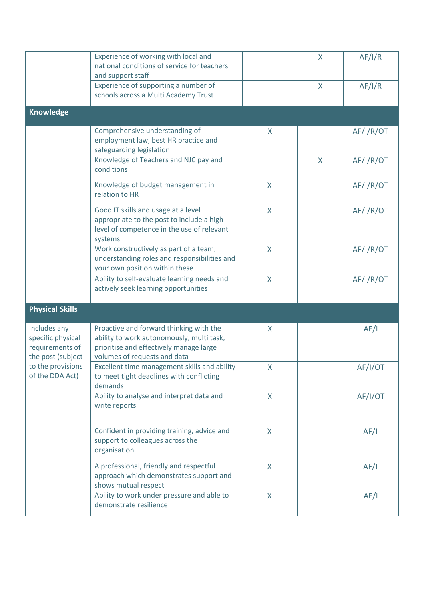|                                                                                                                   | Experience of working with local and<br>national conditions of service for teachers<br>and support staff                                                        |              | X            | AF/I/R    |
|-------------------------------------------------------------------------------------------------------------------|-----------------------------------------------------------------------------------------------------------------------------------------------------------------|--------------|--------------|-----------|
|                                                                                                                   | Experience of supporting a number of<br>schools across a Multi Academy Trust                                                                                    |              | X            | AF/I/R    |
| <b>Knowledge</b>                                                                                                  |                                                                                                                                                                 |              |              |           |
|                                                                                                                   | Comprehensive understanding of<br>employment law, best HR practice and<br>safeguarding legislation                                                              | X            |              | AF/I/R/OT |
|                                                                                                                   | Knowledge of Teachers and NJC pay and<br>conditions                                                                                                             |              | $\mathsf{X}$ | AF/I/R/OT |
|                                                                                                                   | Knowledge of budget management in<br>relation to HR                                                                                                             | X            |              | AF/I/R/OT |
|                                                                                                                   | Good IT skills and usage at a level<br>appropriate to the post to include a high<br>level of competence in the use of relevant<br>systems                       | X            |              | AF/I/R/OT |
|                                                                                                                   | Work constructively as part of a team,<br>understanding roles and responsibilities and<br>your own position within these                                        | X            |              | AF/I/R/OT |
|                                                                                                                   | Ability to self-evaluate learning needs and<br>actively seek learning opportunities                                                                             | X            |              | AF/I/R/OT |
| <b>Physical Skills</b>                                                                                            |                                                                                                                                                                 |              |              |           |
| Includes any<br>specific physical<br>requirements of<br>the post (subject<br>to the provisions<br>of the DDA Act) | Proactive and forward thinking with the<br>ability to work autonomously, multi task,<br>prioritise and effectively manage large<br>volumes of requests and data | X            |              | AF/I      |
|                                                                                                                   | Excellent time management skills and ability<br>to meet tight deadlines with conflicting<br>demands                                                             | X            |              | AF/I/OT   |
|                                                                                                                   | Ability to analyse and interpret data and<br>write reports                                                                                                      | X            |              | AF/I/OT   |
|                                                                                                                   | Confident in providing training, advice and<br>support to colleagues across the<br>organisation                                                                 | $\mathsf{X}$ |              | AF/I      |
|                                                                                                                   | A professional, friendly and respectful<br>approach which demonstrates support and<br>shows mutual respect                                                      | $\mathsf{X}$ |              | AF/I      |
|                                                                                                                   | Ability to work under pressure and able to<br>demonstrate resilience                                                                                            | $\mathsf{X}$ |              | AF/I      |